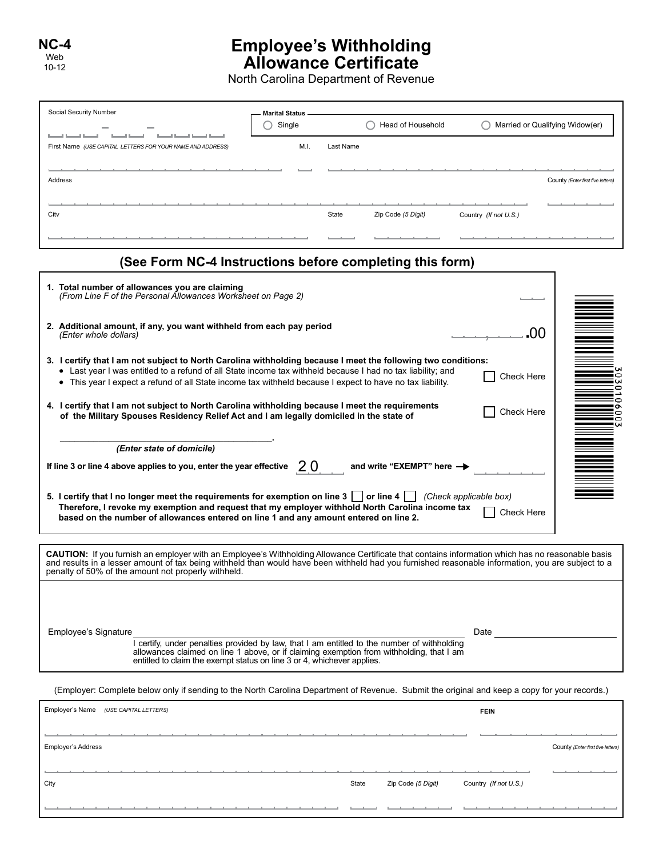## **Employee's Withholding Allowance Certificate**

North Carolina Department of Revenue

| Social Security Number                                                                                                                                                                                                                                                                                                                                                                                                                                                                                                                   | <b>Marital Status</b><br>Single |           | Head of Household         |                                 | Married or Qualifying Widow(er)    |
|------------------------------------------------------------------------------------------------------------------------------------------------------------------------------------------------------------------------------------------------------------------------------------------------------------------------------------------------------------------------------------------------------------------------------------------------------------------------------------------------------------------------------------------|---------------------------------|-----------|---------------------------|---------------------------------|------------------------------------|
| First Name (USE CAPITAL LETTERS FOR YOUR NAME AND ADDRESS)                                                                                                                                                                                                                                                                                                                                                                                                                                                                               | M.I.                            | Last Name |                           |                                 |                                    |
| Address                                                                                                                                                                                                                                                                                                                                                                                                                                                                                                                                  |                                 |           |                           |                                 |                                    |
|                                                                                                                                                                                                                                                                                                                                                                                                                                                                                                                                          |                                 |           |                           |                                 | County (Enter first five letters)  |
| City                                                                                                                                                                                                                                                                                                                                                                                                                                                                                                                                     |                                 | State     | Zip Code (5 Digit)        | Country (If not U.S.)           |                                    |
|                                                                                                                                                                                                                                                                                                                                                                                                                                                                                                                                          |                                 |           |                           |                                 |                                    |
| (See Form NC-4 Instructions before completing this form)                                                                                                                                                                                                                                                                                                                                                                                                                                                                                 |                                 |           |                           |                                 |                                    |
| 1. Total number of allowances you are claiming<br>(From Line F of the Personal Allowances Worksheet on Page 2)                                                                                                                                                                                                                                                                                                                                                                                                                           |                                 |           |                           |                                 |                                    |
| 2. Additional amount, if any, you want withheld from each pay period<br>(Enter whole dollars)                                                                                                                                                                                                                                                                                                                                                                                                                                            |                                 |           |                           |                                 | იი                                 |
| 3. I certify that I am not subject to North Carolina withholding because I meet the following two conditions:<br>• Last year I was entitled to a refund of all State income tax withheld because I had no tax liability; and<br>• This year I expect a refund of all State income tax withheld because I expect to have no tax liability.<br>4. I certify that I am not subject to North Carolina withholding because I meet the requirements<br>of the Military Spouses Residency Relief Act and I am legally domiciled in the state of |                                 |           |                           | Check Here<br><b>Check Here</b> | ⊂<br>$\blacksquare$<br>o<br>c<br>c |
| (Enter state of domicile)<br>If line 3 or line 4 above applies to you, enter the year effective                                                                                                                                                                                                                                                                                                                                                                                                                                          | <b>20</b>                       |           | and write "EXEMPT" here - |                                 |                                    |
| 5. I certify that I no longer meet the requirements for exemption on line $3 \mid \cdot \mid$ or line $4 \mid \cdot \mid$ (Check applicable box)<br>Therefore, I revoke my exemption and request that my employer withhold North Carolina income tax<br>based on the number of allowances entered on line 1 and any amount entered on line 2.                                                                                                                                                                                            |                                 |           |                           | Check Here                      |                                    |
| CAUTION: If you furnish an employer with an Employee's Withholding Allowance Certificate that contains information which has no reasonable basis<br>and results in a lesser amount of tax being withheld than would have been withheld had you furnished reasonable information, you are subject to a<br>penalty of 50% of the amount not properly withheld.                                                                                                                                                                             |                                 |           |                           |                                 |                                    |
| Employee's Signature<br>I certify, under penalties provided by law, that I am entitled to the number of withholding<br>allowances claimed on line 1 above, or if claiming exemption from withholding, that I am<br>entitled to claim the exempt status on line 3 or 4, whichever applies.                                                                                                                                                                                                                                                |                                 |           |                           | Date                            |                                    |
| (Employer: Complete below only if sending to the North Carolina Department of Revenue. Submit the original and keep a copy for your records.)                                                                                                                                                                                                                                                                                                                                                                                            |                                 |           |                           |                                 |                                    |
| Employer's Name (USE CAPITAL LETTERS)                                                                                                                                                                                                                                                                                                                                                                                                                                                                                                    |                                 |           |                           | FEIN                            |                                    |

| Employer Sindine (OSE CAPTIAL LETTERS) |       |                    | <b>FEIN</b>           |                                   |
|----------------------------------------|-------|--------------------|-----------------------|-----------------------------------|
|                                        |       |                    |                       |                                   |
| <b>Employer's Address</b>              |       |                    |                       | County (Enter first five letters) |
|                                        |       |                    |                       |                                   |
| City                                   | State | Zip Code (5 Digit) | Country (If not U.S.) |                                   |
|                                        |       |                    |                       |                                   |
|                                        |       |                    |                       |                                   |